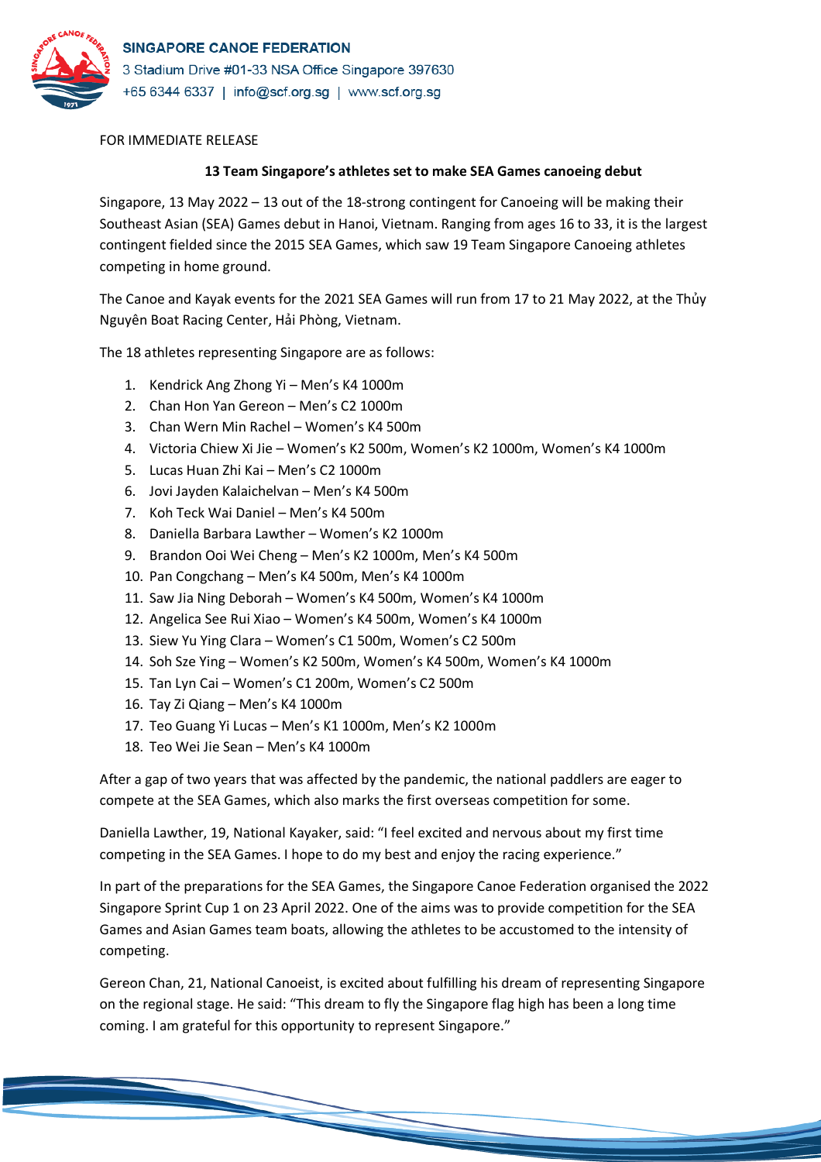

## FOR IMMEDIATE RELEASE

## **13 Team Singapore's athletes set to make SEA Games canoeing debut**

Singapore, 13 May 2022 – 13 out of the 18-strong contingent for Canoeing will be making their Southeast Asian (SEA) Games debut in Hanoi, Vietnam. Ranging from ages 16 to 33, it is the largest contingent fielded since the 2015 SEA Games, which saw 19 Team Singapore Canoeing athletes competing in home ground.

The Canoe and Kayak events for the 2021 SEA Games will run from 17 to 21 May 2022, at the Thủy Nguyên Boat Racing Center, Hải Phòng, Vietnam.

The 18 athletes representing Singapore are as follows:

- 1. Kendrick Ang Zhong Yi Men's K4 1000m
- 2. Chan Hon Yan Gereon Men's C2 1000m
- 3. Chan Wern Min Rachel Women's K4 500m
- 4. Victoria Chiew Xi Jie Women's K2 500m, Women's K2 1000m, Women's K4 1000m
- 5. Lucas Huan Zhi Kai Men's C2 1000m
- 6. Jovi Jayden Kalaichelvan Men's K4 500m
- 7. Koh Teck Wai Daniel Men's K4 500m
- 8. Daniella Barbara Lawther Women's K2 1000m
- 9. Brandon Ooi Wei Cheng Men's K2 1000m, Men's K4 500m
- 10. Pan Congchang Men's K4 500m, Men's K4 1000m
- 11. Saw Jia Ning Deborah Women's K4 500m, Women's K4 1000m
- 12. Angelica See Rui Xiao Women's K4 500m, Women's K4 1000m
- 13. Siew Yu Ying Clara Women's C1 500m, Women's C2 500m
- 14. Soh Sze Ying Women's K2 500m, Women's K4 500m, Women's K4 1000m
- 15. Tan Lyn Cai Women's C1 200m, Women's C2 500m
- 16. Tay Zi Qiang Men's K4 1000m
- 17. Teo Guang Yi Lucas Men's K1 1000m, Men's K2 1000m
- 18. Teo Wei Jie Sean Men's K4 1000m

After a gap of two years that was affected by the pandemic, the national paddlers are eager to compete at the SEA Games, which also marks the first overseas competition for some.

Daniella Lawther, 19, National Kayaker, said: "I feel excited and nervous about my first time competing in the SEA Games. I hope to do my best and enjoy the racing experience."

In part of the preparations for the SEA Games, the Singapore Canoe Federation organised the 2022 Singapore Sprint Cup 1 on 23 April 2022. One of the aims was to provide competition for the SEA Games and Asian Games team boats, allowing the athletes to be accustomed to the intensity of competing.

Gereon Chan, 21, National Canoeist, is excited about fulfilling his dream of representing Singapore on the regional stage. He said: "This dream to fly the Singapore flag high has been a long time coming. I am grateful for this opportunity to represent Singapore."